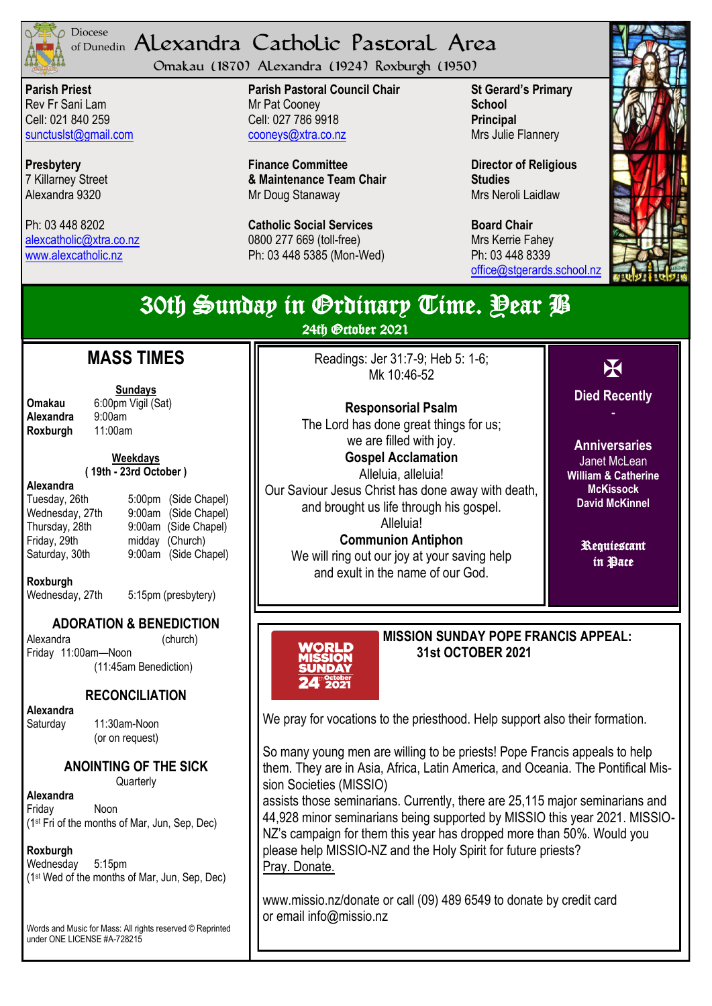

### <sup>Diocese</sup> Alexandra Catholic Pastoral Area of Dunedin

Omakau (1870) Alexandra (1924) Roxburgh (1950)

**Parish Priest** Rev Fr Sani Lam Cell: 021 840 259 [sunctuslst@gmail.com](mailto:mailto:sunctuslst@gmail.com)

**Presbytery** 7 Killarney Street Alexandra 9320

Ph: 03 448 8202 [alexcatholic@xtra.co.nz](mailto:mailto:alexcatholic@xtra.co.nz) www.alexcatholic.nz

**Parish Pastoral Council Chair** Mr Pat Cooney Cell: 027 786 9918 cooneys@xtra.co.nz

**Finance Committee & Maintenance Team Chair** Mr Doug Stanaway

**Catholic Social Services**  0800 277 669 (toll-free) Ph: 03 448 5385 (Mon-Wed) **St Gerard's Primary School Principal** Mrs Julie Flannery

**Director of Religious Studies** Mrs Neroli Laidlaw

**Board Chair** Mrs Kerrie Fahey Ph: 03 448 8339 [office@stgerards.school.nz](mailto:mailto:office@stgerards.school.nz)



#### X **Died Recently** - Janet McLean **McKissock** Requiescant in Pace 30th Sunday in Grdinary Time. Pear *P* 24th October 2021 **MASS TIMES Sundays Omakau** 6:00pm Vigil (Sat)<br>**Alexandra** 9:00am **Alexandra** 9:00am<br>**Roxburgh** 11:00am **Roxburgh Weekdays ( 19th - 23rd October ) Alexandra** Tuesday, 26th 5:00pm (Side Chapel) Wednesday, 27th 9:00am (Side Chapel) Thursday, 28th 9:00am (Side Chapel) Friday, 29th midday (Church)<br>Saturday, 30th 9:00am (Side Ch 9:00am (Side Chapel) **Roxburgh** Wednesday, 27th 5:15pm (presbytery) (11:45am Benediction) **RECONCILIATION** Saturday 11:30am-Noon (or on request) **Quarterly** Readings: Jer 31:7-9; Heb 5: 1-6; Mk 10:46-52 **Responsorial Psalm**  The Lord has done great things for us; we are filled with joy. **Gospel Acclamation**  Alleluia, alleluia! Our Saviour Jesus Christ has done away with death, and brought us life through his gospel. Alleluia! **Communion Antiphon**  We will ring out our joy at your saving help and exult in the name of our God. **MISSION SUNDAY POPE FRANCIS APPEAL: 31st OCTOBER 2021** We pray for vocations to the priesthood. Help support also their formation. sion Societies (MISSIO) NZ's campaign for them this year has dropped more than 50%. Would you please help MISSIO-NZ and the Holy Spirit for future priests?

www.missio.nz/donate or call (09) 489 6549 to donate by credit card or email info@missio.nz

**Anniversaries William & Catherine David McKinnel**

# **ADORATION & BENEDICTION**

Alexandra (church) Friday 11:00am—Noon

**Alexandra** 

**ANOINTING OF THE SICK**

**Alexandra** Friday Noon (1st Fri of the months of Mar, Jun, Sep, Dec)

## **Roxburgh**

Wednesday 5:15pm (1st Wed of the months of Mar, Jun, Sep, Dec)

Words and Music for Mass: All rights reserved © Reprinted under ONE LICENSE #A-728215

So many young men are willing to be priests! Pope Francis appeals to help them. They are in Asia, Africa, Latin America, and Oceania. The Pontifical Mis-

assists those seminarians. Currently, there are 25,115 major seminarians and 44,928 minor seminarians being supported by MISSIO this year 2021. MISSIO-Pray. Donate.